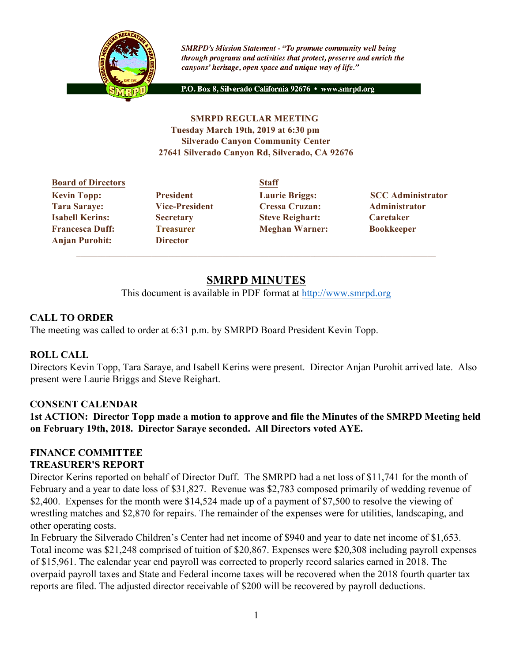

**SMRPD's Mission Statement - "To promote community well being** through programs and activities that protect, preserve and enrich the canyons' heritage, open space and unique way of life."

P.O. Box 8, Silverado California 92676 · www.smrpd.org

### **SMRPD REGULAR MEETING Tuesday March 19th, 2019 at 6:30 pm Silverado Canyon Community Center 27641 Silverado Canyon Rd, Silverado, CA 92676**

# **Board of Directors Staff Tara Saraye: Vice-President Cressa Cruzan: Administrator Isabell Kerins: Secretary Steve Reighart: Caretaker Francesca Duff: Treasurer Meghan Warner: Bookkeeper Anjan Purohit: Director**

**Kevin Topp:** President Laurie Briggs: SCC Administrator

# **SMRPD MINUTES**

This document is available in PDF format at http://www.smrpd.org

# **CALL TO ORDER**

The meeting was called to order at 6:31 p.m. by SMRPD Board President Kevin Topp.

# **ROLL CALL**

Directors Kevin Topp, Tara Saraye, and Isabell Kerins were present. Director Anjan Purohit arrived late. Also present were Laurie Briggs and Steve Reighart.

# **CONSENT CALENDAR**

**1st ACTION: Director Topp made a motion to approve and file the Minutes of the SMRPD Meeting held on February 19th, 2018. Director Saraye seconded. All Directors voted AYE.**

### **FINANCE COMMITTEE TREASURER'S REPORT**

Director Kerins reported on behalf of Director Duff. The SMRPD had a net loss of \$11,741 for the month of February and a year to date loss of \$31,827. Revenue was \$2,783 composed primarily of wedding revenue of \$2,400. Expenses for the month were \$14,524 made up of a payment of \$7,500 to resolve the viewing of wrestling matches and \$2,870 for repairs. The remainder of the expenses were for utilities, landscaping, and other operating costs.

In February the Silverado Children's Center had net income of \$940 and year to date net income of \$1,653. Total income was \$21,248 comprised of tuition of \$20,867. Expenses were \$20,308 including payroll expenses of \$15,961. The calendar year end payroll was corrected to properly record salaries earned in 2018. The overpaid payroll taxes and State and Federal income taxes will be recovered when the 2018 fourth quarter tax reports are filed. The adjusted director receivable of \$200 will be recovered by payroll deductions.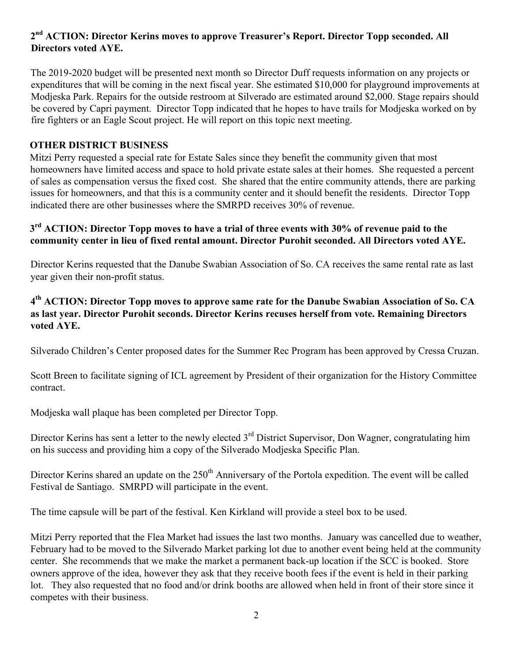# **2nd ACTION: Director Kerins moves to approve Treasurer's Report. Director Topp seconded. All Directors voted AYE.**

The 2019-2020 budget will be presented next month so Director Duff requests information on any projects or expenditures that will be coming in the next fiscal year. She estimated \$10,000 for playground improvements at Modjeska Park. Repairs for the outside restroom at Silverado are estimated around \$2,000. Stage repairs should be covered by Capri payment. Director Topp indicated that he hopes to have trails for Modjeska worked on by fire fighters or an Eagle Scout project. He will report on this topic next meeting.

### **OTHER DISTRICT BUSINESS**

Mitzi Perry requested a special rate for Estate Sales since they benefit the community given that most homeowners have limited access and space to hold private estate sales at their homes. She requested a percent of sales as compensation versus the fixed cost. She shared that the entire community attends, there are parking issues for homeowners, and that this is a community center and it should benefit the residents. Director Topp indicated there are other businesses where the SMRPD receives 30% of revenue.

### **3rd ACTION: Director Topp moves to have a trial of three events with 30% of revenue paid to the community center in lieu of fixed rental amount. Director Purohit seconded. All Directors voted AYE.**

Director Kerins requested that the Danube Swabian Association of So. CA receives the same rental rate as last year given their non-profit status.

### **4th ACTION: Director Topp moves to approve same rate for the Danube Swabian Association of So. CA as last year. Director Purohit seconds. Director Kerins recuses herself from vote. Remaining Directors voted AYE.**

Silverado Children's Center proposed dates for the Summer Rec Program has been approved by Cressa Cruzan.

Scott Breen to facilitate signing of ICL agreement by President of their organization for the History Committee contract.

Modjeska wall plaque has been completed per Director Topp.

Director Kerins has sent a letter to the newly elected 3<sup>rd</sup> District Supervisor, Don Wagner, congratulating him on his success and providing him a copy of the Silverado Modjeska Specific Plan.

Director Kerins shared an update on the 250<sup>th</sup> Anniversary of the Portola expedition. The event will be called Festival de Santiago. SMRPD will participate in the event.

The time capsule will be part of the festival. Ken Kirkland will provide a steel box to be used.

Mitzi Perry reported that the Flea Market had issues the last two months. January was cancelled due to weather, February had to be moved to the Silverado Market parking lot due to another event being held at the community center. She recommends that we make the market a permanent back-up location if the SCC is booked. Store owners approve of the idea, however they ask that they receive booth fees if the event is held in their parking lot. They also requested that no food and/or drink booths are allowed when held in front of their store since it competes with their business.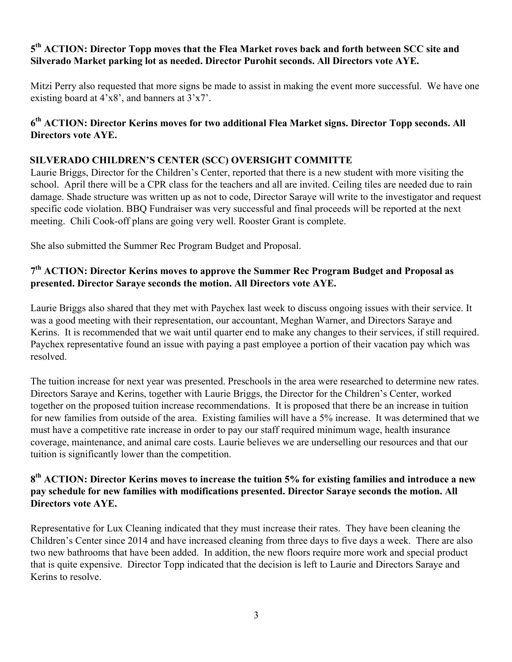# **5th ACTION: Director Topp moves that the Flea Market roves back and forth between SCC site and Silverado Market parking lot as needed. Director Purohit seconds. All Directors vote AYE.**

Mitzi Perry also requested that more signs be made to assist in making the event more successful. We have one existing board at 4'x8', and banners at 3'x7'.

# **6th ACTION: Director Kerins moves for two additional Flea Market signs. Director Topp seconds. All Directors vote AYE.**

# **SILVERADO CHILDREN'S CENTER (SCC) OVERSIGHT COMMITTE**

Laurie Briggs, Director for the Children's Center, reported that there is a new student with more visiting the school. April there will be a CPR class for the teachers and all are invited. Ceiling tiles are needed due to rain damage. Shade structure was written up as not to code, Director Saraye will write to the investigator and request specific code violation. BBQ Fundraiser was very successful and final proceeds will be reported at the next meeting. Chili Cook-off plans are going very well. Rooster Grant is complete.

She also submitted the Summer Rec Program Budget and Proposal.

# **7th ACTION: Director Kerins moves to approve the Summer Rec Program Budget and Proposal as presented. Director Saraye seconds the motion. All Directors vote AYE.**

Laurie Briggs also shared that they met with Paychex last week to discuss ongoing issues with their service. It was a good meeting with their representation, our accountant, Meghan Warner, and Directors Saraye and Kerins. It is recommended that we wait until quarter end to make any changes to their services, if still required. Paychex representative found an issue with paying a past employee a portion of their vacation pay which was resolved.

The tuition increase for next year was presented. Preschools in the area were researched to determine new rates. Directors Saraye and Kerins, together with Laurie Briggs, the Director for the Children's Center, worked together on the proposed tuition increase recommendations. It is proposed that there be an increase in tuition for new families from outside of the area. Existing families will have a 5% increase. It was determined that we must have a competitive rate increase in order to pay our staff required minimum wage, health insurance coverage, maintenance, and animal care costs. Laurie believes we are underselling our resources and that our tuition is significantly lower than the competition.

### **8th ACTION: Director Kerins moves to increase the tuition 5% for existing families and introduce a new pay schedule for new families with modifications presented. Director Saraye seconds the motion. All Directors vote AYE.**

Representative for Lux Cleaning indicated that they must increase their rates. They have been cleaning the Children's Center since 2014 and have increased cleaning from three days to five days a week. There are also two new bathrooms that have been added. In addition, the new floors require more work and special product that is quite expensive. Director Topp indicated that the decision is left to Laurie and Directors Saraye and Kerins to resolve.